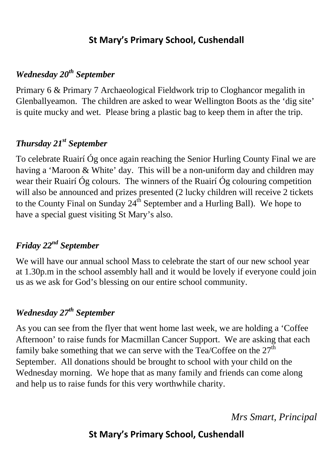### **St Mary's Primary School, Cushendall**

### *Wednesday 20th September*

Primary 6 & Primary 7 Archaeological Fieldwork trip to Cloghancor megalith in Glenballyeamon. The children are asked to wear Wellington Boots as the 'dig site' is quite mucky and wet. Please bring a plastic bag to keep them in after the trip.

# *Thursday 21st September*

To celebrate Ruairí Óg once again reaching the Senior Hurling County Final we are having a 'Maroon & White' day. This will be a non-uniform day and children may wear their Ruairí Óg colours. The winners of the Ruairí Óg colouring competition will also be announced and prizes presented (2 lucky children will receive 2 tickets to the County Final on Sunday  $24<sup>th</sup>$  September and a Hurling Ball). We hope to have a special guest visiting St Mary's also.

# *Friday 22nd September*

We will have our annual school Mass to celebrate the start of our new school year at 1.30p.m in the school assembly hall and it would be lovely if everyone could join us as we ask for God's blessing on our entire school community.

### *Wednesday 27th September*

As you can see from the flyer that went home last week, we are holding a 'Coffee Afternoon' to raise funds for Macmillan Cancer Support. We are asking that each family bake something that we can serve with the Tea/Coffee on the  $27<sup>th</sup>$ September. All donations should be brought to school with your child on the Wednesday morning. We hope that as many family and friends can come along and help us to raise funds for this very worthwhile charity.

*Mrs Smart, Principal* 

# **St Mary's Primary School, Cushendall**